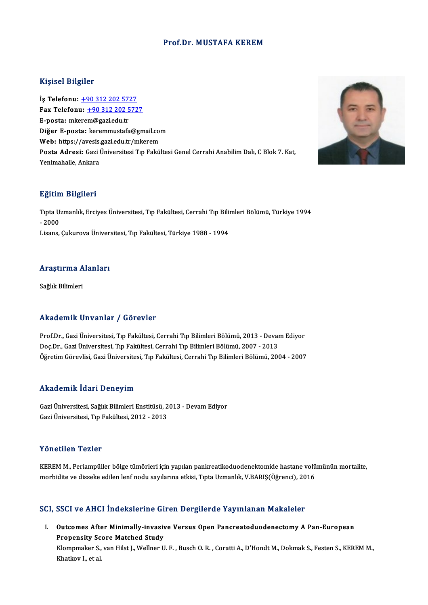### Prof.Dr. MUSTAFA KEREM

### Kişisel Bilgiler

Kişisel Bilgiler<br>İş Telefonu: <u>+90 312 202 5727</u><br>Fax Telefonu: +90 312 202 572 Fax Telefonu:  $\frac{+90\,312\,202\,5727}{+8}$  E-posta: mkerem@gazi.edu.tr İş Telefonu: <u>+90 312 202 57:</u><br>Fax Telefonu: <u>+90 312 202 5</u><br>E-posta: mk[erem@gazi.edu.tr](tel:+90 312 202 5727)<br>Dižor E nosta: karammustafa Diğer E-posta: keremmustafa@gmail.com Web: https://avesis.gazi.edu.tr/mkerem Di<mark>ğer E-posta:</mark> keremmustafa@gmail.com<br>Web: https://avesis.gazi.edu.tr/mkerem<br>Posta Adresi: Gazi Üniversitesi Tıp Fakültesi Genel Cerrahi Anabilim Dalı, C Blok 7. Kat,<br>Yonimaballa Ankara Web: https://avesis.<br>Po<mark>sta Adresi:</mark> Gazi l<br>Yenimahalle, Ankara

## Yenimahalle, Ankara<br>Eğitim Bilgileri

**Eğitim Bilgileri**<br>Tıpta Uzmanlık, Erciyes Üniversitesi, Tıp Fakültesi, Cerrahi Tıp Bilimleri Bölümü, Türkiye 1994<br>2000 **-2011<br>Tipta U:<br>- 2000<br>Lisans** Tıpta Uzmanlık, Erciyes Üniversitesi, Tıp Fakültesi, Cerrahi Tıp Bili:<br>- 2000<br>Lisans, Çukurova Üniversitesi, Tıp Fakültesi, Türkiye 1988 - 1994

### Araştırma Alanları <mark>Araştırma A</mark><br>Sağlık Bilimleri

## Akademik Unvanlar / Görevler

Akademik Unvanlar / Görevler<br>Prof.Dr., Gazi Üniversitesi, Tıp Fakültesi, Cerrahi Tıp Bilimleri Bölümü, 2013 - Devam Ediyor<br>Des.Dr., Gazi Üniversitesi, Tıp Fakültesi, Cerrahi Tıp Bilimleri Bölümü, 2007, 2013 rınddəmin ənvanlar 7 dərəvisi<br>Prof.Dr., Gazi Üniversitesi, Tıp Fakültesi, Cerrahi Tıp Bilimleri Bölümü, 2013 - Devaı<br>Doç.Dr., Gazi Üniversitesi, Tıp Fakültesi, Cerrahi Tıp Bilimleri Bölümü, 2007 - 2013<br>Öğretim Cörevlisi, C Doç.Dr., Gazi Üniversitesi, Tıp Fakültesi, Cerrahi Tıp Bilimleri Bölümü, 2007 - 2013<br>Öğretim Görevlisi, Gazi Üniversitesi, Tıp Fakültesi, Cerrahi Tıp Bilimleri Bölümü, 2004 - 2007

### Akademik İdari Deneyim

Akademik İdari Deneyim<br>Gazi Üniversitesi, Sağlık Bilimleri Enstitüsü, 2013 - Devam Ediyor<br>Cari Üniversitesi "En Eskültesi 2012, 2012 11114 Carlin Fatarı Donoylur<br>Gazi Üniversitesi, Sağlık Bilimleri Enstitüsü, 2<br>Gazi Üniversitesi, Tıp Fakültesi, 2012 - 2013 Gazi Üniversitesi, Tıp Fakültesi, 2012 - 2013<br>Yönetilen Tezler

Yönetilen Tezler<br>KEREM M., Periampüller bölge tümörleri için yapılan pankreatikoduodenektomide hastane volümünün mortalite,<br>morbidite ve disseke edilen lenf nodu sayılanına etkisi, Tınta Uzmanlık, V.BARIS (Öğrensi), 2016 morbindin morbidi<br>KEREM M., Periampüller bölge tümörleri için yapılan pankreatikoduodenektomide hastane volü<br>morbidite ve disseke edilen lenf nodu sayılarına etkisi, Tıpta Uzmanlık, V.BARIŞ(Öğrenci), 2016

## morbidite ve disseke edilen lenf nodu sayılarına etkisi, Tıpta Uzmanlık, V.BARIŞ(Öğrenci), 2016<br>SCI, SSCI ve AHCI İndekslerine Giren Dergilerde Yayınlanan Makaleler

CI, SSCI ve AHCI İndekslerine Giren Dergilerde Yayınlanan Makaleler<br>I. Outcomes After Minimally-invasive Versus Open Pancreatoduodenectomy A Pan-European<br>Repopentiv Seare Matched Study **DEST VE THET MUCHLICHT OF**<br>Dutcomes After Minimally-invasiv<br>Propensity Score Matched Study<br>Klampmaker Stuan Hilst L. Wellner II Outcomes After Minimally-invasive Versus Open Pancreatoduodenectomy A Pan-European<br>Propensity Score Matched Study<br>Klompmaker S., van Hilst J., Wellner U. F. , Busch O. R. , Coratti A., D'Hondt M., Dokmak S., Festen S., KER Propensity Score Matched Study<br>Klompmaker S., van Hilst J., Wellner U. F. , Busch O. R. , Coratti A., D'Hondt M., Dokmak S., Festen S., KEREM M.,<br>Khatkov I., et al.

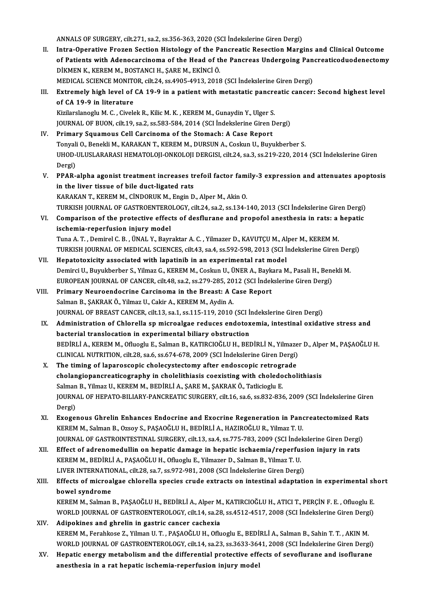ANNALS OF SURGERY, cilt.271, sa.2, ss.356-363, 2020 (SCI İndekslerine Giren Dergi)

- II. Intra-Operative Frozen Section Histology of the Pancreatic Resection Margins and Clinical Outcome of Patients with Adenocarcinoma of the Head of the Pancreas Undergoing Pancreaticoduodenectomy DİKMEN K., KEREM M., BOSTANCI H., ŞAREM., EKİNCİÖ. of Patients with Adenocarcinoma of the Head of the Pancreas Undergoing Pan<br>DİKMEN K., KEREM M., BOSTANCI H., ŞARE M., EKİNCİ Ö.<br>MEDICAL SCIENCE MONITOR, cilt.24, ss.4905-4913, 2018 (SCI İndekslerine Giren Dergi)<br>Extromaly
- III. Extremely high level of CA 19-9 in a patient with metastatic pancreatic cancer: Second highest level of CA 19-9 in literature MEDICAL SCIENCE MONITO<br>Extremely high level of<br>of CA 19-9 in literature<br>Kirilarelaneglu M.C. Givel

Kizilarslanoglu M. C., Civelek R., Kilic M. K., KEREM M., Gunaydin Y., Ulger S. JOURNALOFBUON, cilt.19, sa.2, ss.583-584,2014 (SCI İndekslerineGirenDergi)

- IV. Primary Squamous Cell Carcinoma of the Stomach: A Case Report JOURNAL OF BUON, cilt.19, sa.2, ss.583-584, 2014 (SCI İndekslerine Giren Dergi)<br>Primary Squamous Cell Carcinoma of the Stomach: A Case Report<br>Tonyali O., Benekli M., KARAKAN T., KEREM M., DURSUN A., Coskun U., Buyukberber UHOD-ULUSLARARASI HEMATOLOJI-ONKOLOJI DERGISI, cilt.24, sa.3, ss.219-220, 2014 (SCI İndekslerine Giren<br>Dergi) Tonyali<br>UHOD-<br>Dergi)<br>PRAP UHOD-ULUSLARARASI HEMATOLOJI-ONKOLOJI DERGISI, cilt.24, sa.3, ss.219-220, 2014 (SCI İndekslerine Giren<br>Dergi)<br>V. PPAR-alpha agonist treatment increases trefoil factor family-3 expression and attenuates apoptosis<br>in the liv
- Dergi)<br>PPAR-alpha agonist treatment increases tr<br>in the liver tissue of bile duct-ligated rats<br>KARAKAN T. KEREM M. CINDOPUK M. Engin D PPAR-alpha agonist treatment increases trefoil factor fam<br>in the liver tissue of bile duct-ligated rats<br>KARAKAN T., KEREM M., CİNDORUK M., Engin D., Alper M., Akin O.<br>TURKISH JOURNAL OF CASTROENTEROLOCY silt 24, 89,2, 89,1 in the liver tissue of bile duct-ligated rats<br>KARAKAN T., KEREM M., CİNDORUK M., Engin D., Alper M., Akin O.<br>TURKISH JOURNAL OF GASTROENTEROLOGY, cilt.24, sa.2, ss.134-140, 2013 (SCI İndekslerine Giren Dergi)<br>Comparison of
- KARAKAN T., KEREM M., CINDORUK M., Engin D., Alper M., Akin O.<br>TURKISH JOURNAL OF GASTROENTEROLOGY, cilt.24, sa.2, ss.134-140, 2013 (SCI Indekslerine Giren Dergi)<br>VI. Comparison of the protective effects of desflurane and TURKISH JOURNAL OF GASTROENTERO<br>Comparison of the protective effec<br>ischemia-reperfusion injury model<br>Tune A.T. Demirel C.B. (INAL Y. Berm Comparison of the protective effects of desflurane and propofol anesthesia in rats: a<br>ischemia-reperfusion injury model<br>Tuna A.T., Demirel C.B., ÜNAL Y., Bayraktar A.C., Yilmazer D., KAVUTÇU M., Alper M., KEREM M.<br>TURKISH ischemia-reperfusion injury model<br>Tuna A. T. , Demirel C. B. , ÜNAL Y., Bayraktar A. C. , Yilmazer D., KAVUTÇU M., Alper M., KEREM M.<br>TURKISH JOURNAL OF MEDICAL SCIENCES, cilt.43, sa.4, ss.592-598, 2013 (SCI İndekslerine G
- Tuna A. T., Demirel C. B., ÜNAL Y., Bayraktar A. C., Yilmazer D., KAVUTÇU M., Al<br>TURKISH JOURNAL OF MEDICAL SCIENCES, cilt.43, sa.4, ss.592-598, 2013 (SCI İ:<br>VII. Hepatotoxicity associated with lapatinib in an experimental TURKISH JOURNAL OF MEDICAL SCIENCES, cilt.43, sa.4, ss.592-598, 2013 (SCI İndekslerine Giren Der<br>Hepatotoxicity associated with lapatinib in an experimental rat model<br>Demirci U., Buyukberber S., Yilmaz G., KEREM M., Coskun Hepatotoxicity associated with lapatinib in an experimental rat model<br>Demirci U., Buyukberber S., Yilmaz G., KEREM M., Coskun U., ÜNER A., Baykara M., Pasali H., Bene<br>EUROPEAN JOURNAL OF CANCER, cilt.48, sa.2, ss.279-285, EUROPEAN JOURNAL OF CANCER, cilt.48, sa.2, ss.279-285, 2012 (SCI Indekslerine Giren Dergi)
- VIII. Primary Neuroendocrine Carcinoma in the Breast: A Case Report<br>Salman B., ŞAKRAK Ö., Yilmaz U., Cakir A., KEREM M., Aydin A. JOURNALOFBREASTCANCER, cilt.13, sa.1, ss.115-119,2010 (SCI İndekslerineGirenDergi)
	- IX. Administration of Chlorella sp microalgae reduces endotoxemia, intestinal oxidative stress and bacterial translocation in experimental biliary obstruction Administration of Chlorella sp microalgae reduces endotoxemia, intestinal oxidative stress and<br>bacterial translocation in experimental biliary obstruction<br>BEDİRLİ A., KEREM M., Ofluoglu E., Salman B., KATIRCIOĞLU H., BEDİR bacterial translocation in experimental biliary obstruction<br>BEDİRLİ A., KEREM M., Ofluoglu E., Salman B., KATIRCIOĞLU H., BEDİRLİ N., Yilmaze:<br>CLINICAL NUTRITION, cilt.28, sa.6, ss.674-678, 2009 (SCI İndekslerine Giren Der BEDİRLİ A., KEREM M., Ofluoglu E., Salman B., KATIRCIOĞLU H., BEDİRLİ N., Yilmaze<br>CLINICAL NUTRITION, cilt.28, sa.6, ss.674-678, 2009 (SCI İndekslerine Giren Dergi)<br>X. The timing of laparoscopic cholecystectomy after endos
	- CLINICAL NUTRITION, cilt.28, sa.6, ss.674-678, 2009 (SCI Indekslerine Giren Dergi)<br>The timing of laparoscopic cholecystectomy after endoscopic retrograde<br>cholangiopancreaticography in cholelithiasis coexisting with choledo The timing of laparoscopic cholecystectomy after endoscopic retrogr<br>cholangiopancreaticography in cholelithiasis coexisting with choledo<br>Salman B., Yilmaz U., KEREM M., BEDİRLİ A., ŞARE M., ŞAKRAK Ö., Tatlicioglu E.<br>JOUPMA cholangiopancreaticography in cholelithiasis coexisting with choledocholithiasis<br>Salman B., Yilmaz U., KEREM M., BEDİRLİ A., ŞARE M., ŞAKRAK Ö., Tatlicioglu E.<br>JOURNAL OF HEPATO-BILIARY-PANCREATIC SURGERY, cilt.16, sa.6, s Salman<br>JOURN<br>Dergi)<br>Everge JOURNAL OF HEPATO-BILIARY-PANCREATIC SURGERY, cilt.16, sa.6, ss.832-836, 2009 (SCI Indekslerine Gire:<br>Dergi)<br>XI. Exogenous Ghrelin Enhances Endocrine and Exocrine Regeneration in Pancreatectomized Rats<br>KERRAM Salman B. Ozo
- Dergi)<br>Exogenous Ghrelin Enhances Endocrine and Exocrine Regeneration in Panc<br>KEREM M., Salman B., Ozsoy S., PAŞAOĞLU H., BEDİRLİ A., HAZIROĞLU R., Yilmaz T. U. XI. Exogenous Ghrelin Enhances Endocrine and Exocrine Regeneration in Pancreatectomized Rats<br>KEREM M., Salman B., Ozsoy S., PAŞAOĞLU H., BEDİRLİ A., HAZIROĞLU R., Yilmaz T. U.<br>JOURNAL OF GASTROINTESTINAL SURGERY, cilt.13, JOURNAL OF GASTROINTESTINAL SURGERY, cilt.13, sa.4, ss.775-783, 2009 (SCI Indekslerine Giren Dergi)
- KEREMM.,BEDİRLİA.,PAŞAOĞLUH.,OfluogluE.,YilmazerD.,SalmanB.,YilmazT.U. Effect of adrenomedullin on hepatic damage in hepatic ischaemia/reperfusi<br>KEREM M., BEDİRLİ A., PAŞAOĞLU H., Ofluoglu E., Yilmazer D., Salman B., Yilmaz T. U.<br>LIVER INTERNATIONAL, cilt.28, sa.7, ss.972-981, 2008 (SCI İndek KEREM M., BEDİRLİ A., PAŞAOĞLU H., Ofluoglu E., Yilmazer D., Salman B., Yilmaz T. U.<br>LIVER INTERNATIONAL, cilt.28, sa.7, ss.972-981, 2008 (SCI İndekslerine Giren Dergi)<br>XIII. Effects of microalgae chlorella species cru
- LIVER INTERNATIC<br>Effects of microa<br>bowel syndrome<br><sup>VEDEM M. Salman</sup> Effects of microalgae chlorella species crude extracts on intestinal adaptation in experimental sl<br>bowel syndrome<br>KEREM M., Salman B., PAŞAOĞLU H., BEDİRLİ A., Alper M., KATIRCIOĞLU H., ATICI T., PERÇİN F. E. , Ofluoglu E. bowel syndrome<br>KEREM M., Salman B., PAŞAOĞLU H., BEDİRLİ A., Alper M., KATIRCIOĞLU H., ATICI T., PERÇİN F. E. , Ofluoglu E.<br>WORLD JOURNAL OF GASTROENTEROLOGY, cilt.14, sa.28, ss.4512-4517, 2008 (SCI İndekslerine Giren Derg
- KEREM M., Salman B., PAŞAOĞLU H., BEDİRLİ A., Alper M.<br>WORLD JOURNAL OF GASTROENTEROLOGY, cilt.14, sa.28<br>XIV. Adipokines and ghrelin in gastric cancer cachexia<br>KEREM M. Fershingse Z. Vilman H.T., PASAOĞLU H. Ofu WORLD JOURNAL OF GASTROENTEROLOGY, cilt.14, sa.28, ss.4512-4517, 2008 (SCI İndekslerine Giren Derg<br><mark>Adipokines and ghrelin in gastric cancer cachexia</mark><br>KEREM M., Ferahkose Z., Yilman U. T. , PAŞAOĞLU H., Ofluoglu E., BEDİRL Adipokines and ghrelin in gastric cancer cachexia<br>KEREM M., Ferahkose Z., Yilman U. T. , PAŞAOĞLU H., Ofluoglu E., BEDİRLİ A., Salman B., Sahin T. T. , AKIN M.<br>WORLD JOURNAL OF GASTROENTEROLOGY, cilt.14, sa.23, ss.3633-364 KEREM M., Ferahkose Z., Yilman U. T. , PAŞAOĞLU H., Ofluoglu E., BEDİRLİ A., Salman B., Sahin T. T. , AKIN M.<br>WORLD JOURNAL OF GASTROENTEROLOGY, cilt.14, sa.23, ss.3633-3641, 2008 (SCI İndekslerine Giren Dergi)<br>XV. Hepatic
- WORLD JOURNAL OF GASTROENTEROLOGY, cilt.14, sa.23, ss.3633-3641, 2008 (SCI Indekslerine Giren Dergi)<br>XV. Hepatic energy metabolism and the differential protective effects of sevoflurane and isoflurane<br>anesthesia in a rat h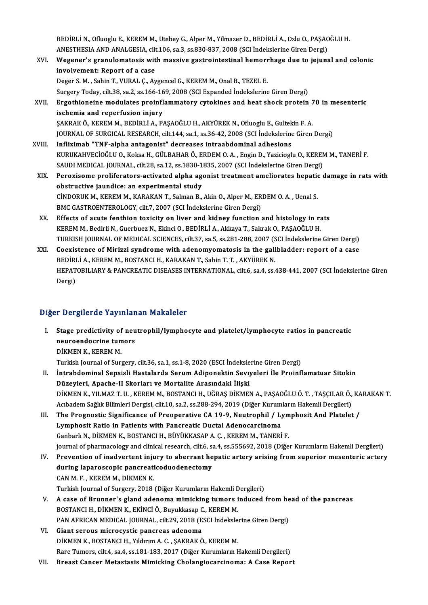BEDİRLİ N., Ofluoglu E., KEREM M., Utebey G., Alper M., Yilmazer D., BEDİRLİ A., Ozlu O., PAŞAOĞLU H.<br>ANESTHESIA AND ANALCESIA. 911.106.29.2.58.820.827.2008 (SSLİndekslərine Giren Dergi) BEDİRLİ N., Ofluoglu E., KEREM M., Utebey G., Alper M., Yilmazer D., BEDİRLİ A., Ozlu O., PAŞAC<br>ANESTHESIA AND ANALGESIA, cilt.106, sa.3, ss.830-837, 2008 (SCI İndekslerine Giren Dergi)<br>Wegener's aranylametasis with massiv BEDİRLİ N., Ofluoglu E., KEREM M., Utebey G., Alper M., Yilmazer D., BEDİRLİ A., Ozlu O., PAŞAOĞLU H.<br>ANESTHESIA AND ANALGESIA, cilt.106, sa.3, ss.830-837, 2008 (SCI İndekslerine Giren Dergi)<br>XVI. Wegener's granulomato

- ANESTHESIA AND ANALGESIA, cilt.106, sa.3, ss.830-837, 2008 (SCI Indekslerine Giren Dergi) Wegener's granulomatosis with massive gastrointestinal hemorrhage due to jejun involvement: Report of a case<br>Deger S. M., Sahin T., Wegener's granulomatosis with massive gastrointestinal hemorr<br>involvement: Report of a case<br>Deger S.M., Sahin T., VURAL Ç., Aygencel G., KEREM M., Onal B., TEZEL E.<br>Surgery Today, gilt 29, sa 2, ss 166, 169, 2009 (SCL Expa SurgeryToday, cilt.38, sa.2, ss.166-169,2008 (SCIExpanded İndekslerineGirenDergi) Deger S. M. , Sahin T., VURAL Ç., Aygencel G., KEREM M., Onal B., TEZEL E.<br>Surgery Today, cilt.38, sa.2, ss.166-169, 2008 (SCI Expanded Indekslerine Giren Dergi)<br>XVII. Ergothioneine modulates proinflammatory cytokines and
- Surgery Today, cilt.38, sa.2, ss.166-16<br>Ergothioneine modulates proinfl<br>ischemia and reperfusion injury<br>SAKRAKÖ KEREM M. REDIRLİA, R. Ergothioneine modulates proinflammatory cytokines and heat shock protein 7<br>ischemia and reperfusion injury<br>ŞAKRAK Ö., KEREM M., BEDİRLİ A., PAŞAOĞLU H., AKYÜREK N., Ofluoglu E., Gultekin F. A.<br>JOUPMAL OE SUBCICAL BESEARCH ischemia and reperfusion injury<br>ŞAKRAK Ö., KEREM M., BEDİRLİ A., PAŞAOĞLU H., AKYÜREK N., Ofluoglu E., Gultekin F. A.<br>JOURNAL OF SURGICAL RESEARCH, cilt.144, sa.1, ss.36-42, 2008 (SCI İndekslerine Giren Dergi)
- XVIII. Infliximab "TNF-alpha antagonist" decreases intraabdominal adhesions JOURNAL OF SURGICAL RESEARCH, cilt.144, sa.1, ss.36-42, 2008 (SCI İndekslerine Giren Dergi)<br>Infliximab "TNF-alpha antagonist" decreases intraabdominal adhesions<br>KURUKAHVECİOĞLU O., Koksa H., GÜLBAHAR Ö., ERDEM O. A. , Engi Infliximab "TNF-alpha antagonist" decreases intraabdominal adhesions<br>KURUKAHVECİOĞLU O., Koksa H., GÜLBAHAR Ö., ERDEM O. A. , Engin D., Yazicioglu O., KEREN<br>SAUDI MEDICAL JOURNAL, cilt.28, sa.12, ss.1830-1835, 2007 (SCI İn KURUKAHVECİOĞLU O., Koksa H., GÜLBAHAR Ö., ERDEM O. A. , Engin D., Yazicioglu O., KEREM M., TANERİ F.<br>SAUDI MEDICAL JOURNAL, cilt.28, sa.12, ss.1830-1835, 2007 (SCI İndekslerine Giren Dergi)<br>XIX. Peroxisome proliferators-a
	- SAUDI MEDICAL JOURNAL, cilt.28, sa.12, ss.1830-1<br>Peroxisome proliferators-activated alpha ag<br>obstructive jaundice: an experimental study<br>CinDOPIIK M, KEREM M, KARAKAN T, Selman B Peroxisome proliferators-activated alpha agonist treatment ameliorates hepation<br>obstructive jaundice: an experimental study<br>CİNDORUK M., KEREM M., KARAKAN T., Salman B., Akin O., Alper M., ERDEM O. A. , Uenal S.<br>PMC CASTRO obstructive jaundice: an experimental study<br>CİNDORUK M., KEREM M., KARAKAN T., Salman B., Akin O., Alper M., ERDEM O. A. , Uenal S.<br>BMC GASTROENTEROLOGY, cilt.7, 2007 (SCI İndekslerine Giren Dergi)
	- XX. Effects of acute fenthion toxicity on liver and kidney function and histology in rats KEREM M., Bedirli N., Guerbuez N., Ekinci O., BEDİRLİ A., Akkaya T., Sakrak O., PAŞAOĞLU H. Effects of acute fenthion toxicity on liver and kidney function and histology in rats<br>KEREM M., Bedirli N., Guerbuez N., Ekinci O., BEDİRLİ A., Akkaya T., Sakrak O., PAŞAOĞLU H.<br>TURKISH JOURNAL OF MEDICAL SCIENCES, cilt.37 KEREM M., Bedirli N., Guerbuez N., Ekinci O., BEDİRLİ A., Akkaya T., Sakrak O., PAŞAOĞLU H.<br>TURKISH JOURNAL OF MEDICAL SCIENCES, cilt.37, sa.5, ss.281-288, 2007 (SCI İndekslerine Giren Dergi)<br>XXI. Coexistence of Mirizzi sy
	- TURKISH JOURNAL OF MEDICAL SCIENCES, cilt.37, sa.5, ss.281-288, 2007 (S. 2007)<br>Coexistence of Mirizzi syndrome with adenomyomatosis in the gall<br>BEDİRLİ A., KEREM M., BOSTANCI H., KARAKAN T., Sahin T. T. , AKYÜREK N.<br>HERATO Coexistence of Mirizzi syndrome with adenomyomatosis in the gallbladder: report of a case<br>BEDİRLİ A., KEREM M., BOSTANCI H., KARAKAN T., Sahin T. T. , AKYÜREK N.<br>HEPATOBILIARY & PANCREATIC DISEASES INTERNATIONAL, cilt.6, s BEDİRI<br>HEPAT<br>Dergi)

## Dergi)<br>Diğer Dergilerde Yayınlanan Makaleler

- Iger Dergilerde Yayınlanan Makaleler<br>I. Stage predictivity of neutrophil/lymphocyte and platelet/lymphocyte ratios in pancreatic<br>neuroondosuine tumers neuroendocrine tumors<br>Stage predictivity of neu<br>DivMEN V, VEREM M Stage predictivity of<br>neuroendocrine tum<br>DİKMEN K., KEREM M.<br>Turkich Journal of Sure neuroendocrine tumors<br>DİKMEN K., KEREM M.<br>Turkish Journal of Surgery, cilt.36, sa.1, ss.1-8, 2020 (ESCI İndekslerine Giren Dergi)
- II. İntrabdominal Sepsisli Hastalarda Serum Adiponektin Sevıyeleri İle Proinflamatuar Sitokin Düzeyleri, Apache-II Skorları ve Mortalite Arasındaki İlişki DİKMEN K., YILMAZ T. U., KEREM M., BOSTANCI H., UĞRAŞ DİKMEN A., PAŞAOĞLU Ö. T., TAŞÇILAR Ö., KARAKAN T. Düzeyleri, Apache-II Skorları ve Mortalite Arasındaki İlişki<br>DİKMEN K., YILMAZ T. U. , KEREM M., BOSTANCI H., UĞRAŞ DİKMEN A., PAŞAOĞLU Ö. T. , TAŞÇILAR Ö.,<br>Acıbadem Sağlık Bilimleri Dergisi, cilt.10, sa.2, ss.288-294, 201
- DİKMEN K., YILMAZ T. U. , KEREM M., BOSTANCI H., UĞRAŞ DİKMEN A., PAŞAOĞLU Ö. T. , TAŞÇILAR Ö., KA<br>Acıbadem Sağlık Bilimleri Dergisi, cilt.10, sa.2, ss.288-294, 2019 (Diğer Kurumların Hakemli Dergileri)<br>III. The Prognostic Acıbadem Sağlık Bilimleri Dergisi, cilt.10, sa.2, ss.288-294, 2019 (Diğer Kurum)<br>The Prognostic Significance of Preoperative CA 19-9, Neutrophil / L.<br>Lymphosit Ratio in Patients with Pancreatic Ductal Adenocarcinoma<br>Canbar III. The Prognostic Significance of Preoperative CA 19-9, Neutrophil / Lymphosit And Platelet /<br>Lymphosit Ratio in Patients with Pancreatic Ductal Adenocarcinoma<br>Ganbarlı N., DİKMEN K., BOSTANCI H., BÜYÜKKASAP A. Ç. , KERE Lymphosit Ratio in Patients with Pancreatic Ductal Adenocarcinoma<br>Ganbarlı N., DİKMEN K., BOSTANCI H., BÜYÜKKASAP A. Ç. , KEREM M., TANERİ F.<br>journal of pharmacology and clinical research, cilt.6, sa.4, ss.555692, 2018 (Di Ganbarlı N., DİKMEN K., BOSTANCI H., BÜYÜKKASAP A. Ç. , KEREM M., TANERİ F.<br>journal of pharmacology and clinical research, cilt.6, sa.4, ss.555692, 2018 (Diğer Kurumların Hakemli Dergileri)<br>IV. Prevention of inadvertent in
- journal of pharmacology and clinical research, cilt.6, sa<br>Prevention of inadvertent injury to aberrant he<br>during laparoscopic pancreaticoduodenectomy<br>CANM E KEREM M- DİKMEN K IV. Prevention of inadvertent injury to aberrant hepatic artery arising from superior mesenteric artery during laparoscopic pancreaticoduodenectomy<br>CAN M. F., KEREM M., DİKMEN K. during laparoscopic pancreaticoduodenectomy<br>CAN M. F. , KEREM M., DİKMEN K.<br>Turkish Journal of Surgery, 2018 (Diğer Kurumların Hakemli Dergileri)<br>A sasa of Prunner's sland adanema mimiskins tumera indused : CAN M. F. , KEREM M., DİKMEN K.<br>Turkish Journal of Surgery, 2018 (Diğer Kurumların Hakemli Dergileri)<br>V. — A case of Brunner's gland adenoma mimicking tumors induced from head of the pancreas<br>ROSTANCLH DİKMEN K. EKİNCİ Ö.
- Turkish Journal of Surgery, 2018 (Diğer Kurumların Hakemli D<br>A case of Brunner's gland adenoma mimicking tumors i<br>BOSTANCI H., DİKMEN K., EKİNCİ Ö., Buyukkasap C., KEREM M.<br>BAN AEBICAN MEDICAL JOURNAL, silt 29, 2019 (ESCI A case of Brunner's gland adenoma mimicking tumors induced from he<br>BOSTANCI H., DİKMEN K., EKİNCİ Ö., Buyukkasap C., KEREM M.<br>PAN AFRICAN MEDICAL JOURNAL, cilt.29, 2018 (ESCI İndekslerine Giren Dergi)<br>Ciant serewe misrosya BOSTANCI H., DİKMEN K., EKİNCİ Ö., Buyukkasap C., KEREM M.<br>PAN AFRICAN MEDICAL JOURNAL, cilt.29, 2018 (ESCI İndekslerine Giren Dergi)<br>VI. Giant serous microcystic pancreas adenoma
- DİKMEN K., BOSTANCI H., Yıldırım A. C., ŞAKRAKÖ., KEREMM. Rare Tumors, cilt.4, sa.4, ss.181-183, 2017 (Diğer Kurumların Hakemli Dergileri)
- VII. Breast Cancer Metastasis Mimicking Cholangiocarcinoma: A Case Report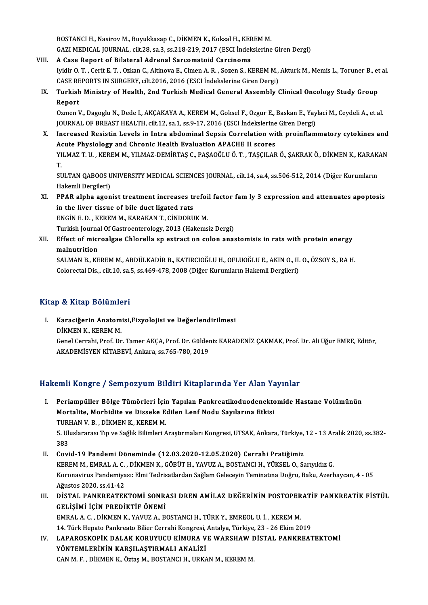BOSTANCI H., Nasirov M., Buyukkasap C., DİKMEN K., Koksal H., KEREM M.<br>CAZI MEDICAL JOUPNAL, silt 28, sa 2, sa 219, 219, 2017, (ESCLİ delizlerine BOSTANCI H., Nasirov M., Buyukkasap C., DİKMEN K., Koksal H., KER<br>GAZI MEDICAL JOURNAL, cilt.28, sa.3, ss.218-219, 2017 (ESCI İndek<br>VIII. A Case Report of Bilateral Adrenal Sarcomatoid Carcinoma<br>Inidir O.T., Corit E.T., Or

- GAZI MEDICAL JOURNAL, cilt.28, sa.3, ss.218-219, 2017 (ESCI İndekslerine Giren Dergi)<br>VIII. A Case Report of Bilateral Adrenal Sarcomatoid Carcinoma GAZI MEDICAL JOURNAL, cilt.28, sa.3, ss.218-219, 2017 (ESCI İndekslerine Giren Dergi)<br>A Case Report of Bilateral Adrenal Sarcomatoid Carcinoma<br>Iyidir O. T. , Cerit E. T. , Ozkan C., Altinova E., Cimen A. R. , Sozen S., KER A Case Report of Bilateral Adrenal Sarcomatoid Carcinoma<br>Iyidir O. T. , Cerit E. T. , Ozkan C., Altinova E., Cimen A. R. , Sozen S., KEREM M.,<br>CASE REPORTS IN SURGERY, cilt.2016, 2016 (ESCI İndekslerine Giren Dergi)<br>Turkic CASE REPORTS IN SURGERY, cilt.2016, 2016 (ESCI İndekslerine Giren Dergi)
	- IX. Turkish Ministry of Health, 2nd Turkish Medical General Assembly Clinical Oncology Study Group Turkish Ministry of Health, 2nd Turkish Medical General Assembly Clinical Oncology Study Group<br>Report<br>Ozmen V., Dagoglu N., Dede I., AKÇAKAYA A., KEREM M., Goksel F., Ozgur E., Baskan E., Yaylaci M., Ceydeli A., et al.<br>JOU

Report<br>Ozmen V., Dagoglu N., Dede I., AKÇAKAYA A., KEREM M., Goksel F., Ozgur E., Baskan E., Yay<br>JOURNAL OF BREAST HEALTH, cilt.12, sa.1, ss.9-17, 2016 (ESCI İndekslerine Giren Dergi)<br>Inareased Besistin Levels in Intre abd Ozmen V., Dagoglu N., Dede I., AKÇAKAYA A., KEREM M., Goksel F., Ozgur E., Baskan E., Yaylaci M., Ceydeli A., et al.<br>JOURNAL OF BREAST HEALTH, cilt.12, sa.1, ss.9-17, 2016 (ESCI Indekslerine Giren Dergi)<br>X. Increased Resis

JOURNAL OF BREAST HEALTH, cilt.12, sa.1, ss.9-17, 2016 (ESCI İndekslerine Giren Dergi)<br>Increased Resistin Levels in Intra abdominal Sepsis Correlation with proinflammatory cytokines and<br>Acute Physiology and Chronic Health Increased Resistin Levels in Intra abdominal Sepsis Correlation with proinflammatory cytokines and<br>Acute Physiology and Chronic Health Evaluation APACHE II scores<br>YILMAZ T. U. , KEREM M., YILMAZ-DEMİRTAŞ C., PAŞAOĞLU Ö. T. Ad<br>YI<br>T. YILMAZ T. U. , KEREM M., YILMAZ-DEMİRTAŞ C., PAŞAOĞLU Ö. T. , TAŞÇILAR Ö., ŞAKRAK Ö., DİKMEN K., KARAK.<br>T.<br>SULTAN QABOOS UNIVERSITY MEDICAL SCIENCES JOURNAL, cilt.14, sa.4, ss.506-512, 2014 (Diğer Kurumların<br>Hakamli Dargil

T.<br>SULTAN QABOOS U<br>Hakemli Dergileri) SULTAN QABOOS UNIVERSITY MEDICAL SCIENCES JOURNAL, cilt.14, sa.4, ss.506-512, 2014 (Diğer Kurumların<br>Hakemli Dergileri)<br>XI. PPAR alpha agonist treatment increases trefoil factor fam ly 3 expression and attenuates apoptosis

Hakemli Dergileri)<br>PPAR alpha agonist treatment increases tr<br>in the liver tissue of bile duct ligated rats<br>ENGÍN E D., KEREM M. KARAKAN T. GÍNDOPU PPAR alpha agonist treatment increases trefoi<br>in the liver tissue of bile duct ligated rats<br>ENGİN E. D. , KEREM M., KARAKAN T., CİNDORUK M.<br>Turkich Journal Of Castreenterelegy, 2012 (Heltome in the liver tissue of bile duct ligated rats<br>ENGİN E. D. , KEREM M., KARAKAN T., CİNDORUK M.<br>Turkish Journal Of Gastroenterology, 2013 (Hakemsiz Dergi)<br>Effect of misroelsee Chlarelle en extrest en solan anse

ENGİN E. D. , KEREM M., KARAKAN T., CİNDORUK M.<br>Turkish Journal Of Gastroenterology, 2013 (Hakemsiz Dergi)<br>XII. Effect of microalgae Chlorella sp extract on colon anastomisis in rats with protein energy<br>malputrition Turkish Journa<br><mark>Effect of micr</mark><br>malnutrition<br>SALMAN P-KE Effect of microalgae Chlorella sp extract on colon anastomisis in rats with protein energy<br>malnutrition<br>SALMAN B., KEREM M., ABDÜLKADİR B., KATIRCIOĞLU H., OFLUOĞLU E., AKIN O., IL O., ÖZSOY S., RA H.<br>Celerestel Dis., silt

malnutrition<br>SALMAN B., KEREM M., ABDÜLKADİR B., KATIRCIOĞLU H., OFLUOĞLU E., AKIN O., IL O., ÖZSOY S., RA H.<br>Colorectal Dis.,, cilt.10, sa.5, ss.469-478, 2008 (Diğer Kurumların Hakemli Dergileri)

### Kitap & Kitap Bölümleri

Itap & Kitap Bölümleri<br>I. Karaciğerin Anatomisi,Fizyolojisi ve Değerlendirilmesi<br>DİKMEN K. KEREM M p & kkup Boranne<br>Karaciğerin Anatom<br>DİKMEN K., KEREM M.<br>Canal Carrabi, Braf, Dr Karaciğerin Anatomisi,Fizyolojisi ve Değerlendirilmesi<br>DİKMEN K., KEREM M.<br>Genel Cerrahi, Prof. Dr. Tamer AKÇA, Prof. Dr. Güldeniz KARADENİZ ÇAKMAK, Prof. Dr. Ali Uğur EMRE, Editör,<br>AKADEMİSVEN KİTAREVİ, Ankara 98.765.790. DİKMEN K., KEREM M.<br>Genel Cerrahi, Prof. Dr. Tamer AKÇA, Prof. Dr. Gülder<br>AKADEMİSYEN KİTABEVİ, Ankara, ss.765-780, 2019

# AKADEMİSYEN KİTABEVİ, Ankara, ss.765-780, 2019<br>Hakemli Kongre / Sempozyum Bildiri Kitaplarında Yer Alan Yayınlar

- I. Periampüller Bölge Tümörleri İçin Yapılan Pankreatikoduodenektomide Hastane Volümünün Mortalite, Morbidite ve Disseke Edilen Lenf Nodu Sayılarına Etkisi Periampüller Bölge Tümörleri İçim<br>Mortalite, Morbidite ve Disseke E<br>TURHAN V. B., DİKMEN K., KEREM M.<br>5. Uluslararası Tın ve Sağlık Bilimleri A 5. Uluslararası Tıp ve Sağlık Bilimleri Araştırmaları Kongresi, UTSAK, Ankara, Türkiye, 12 - 13 Aralık 2020, ss.382-<br>383 TURI<br>5. Uli<br>383 II. Covid-19 Pandemi Döneminde (12.03.2020-12.05.2020) Cerrahi Pratiğimiz KEREMM.,EMRALA.C. ,DİKMENK.,GÖBÜTH.,YAVUZA.,BOSTANCIH.,YÜKSELO.,SarıyıldızG. Covid-19 Pandemi Döneminde (12.03.2020-12.05.2020) Cerrahi Pratiğimiz<br>KEREM M., EMRAL A. C. , DİKMEN K., GÖBÜT H., YAVUZ A., BOSTANCI H., YÜKSEL O., Sarıyıldız G.<br>Koronavirus Pandemiyası: Elmi Tedrisatlardan Sağlam Gelecey KEREM M., EMRAL A. C.<br>Koronavirus Pandemiya<br>Ağustos 2020, ss.41-42<br>DİSTAL DANKREATER
- Koronavirus Pandemiyası: Elmi Tedrisatlardan Sağlam Geleceyin Teminatına Doğru, Baku, Azerbaycan, 4 05<br>Ağustos 2020, ss.41-42<br>III. DİSTAL PANKREATEKTOMİ SONRASI DREN AMİLAZ DEĞERİNİN POSTOPERATİF PANKREATİK FİSTÜL Ağustos 2020, ss.41-42<br>III. DİSTAL PANKREATEKTOMİ SONRASI DREN AMİLAZ DEĞERİNİN POSTOPERATİF PANKREATİK FİSTÜL<br>GELİŞİMİ İÇİN PREDİKTİF ÖNEMİ DİSTAL PANKREATEKTOMİ SONRASI DREN AMİLAZ DEĞERİNİN POSTOPER<br>GELİŞİMİ İÇİN PREDİKTİF ÖNEMİ<br>EMRAL A. C. , DİKMEN K., YAVUZ A., BOSTANCI H., TÜRK Y., EMREOL U. İ. , KEREM M.<br>14. Türk Hanata Pankrasta Biliar Carrabi Kansrasi, GELİŞİMİ İÇİN PREDİKTİF ÖNEMİ<br>EMRAL A. C. , DİKMEN K., YAVUZ A., BOSTANCI H., TÜRK Y., EMREOL U. İ. , KEREM M.<br>14. Türk Hepato Pankreato Bilier Cerrahi Kongresi, Antalya, Türkiye, 23 - 26 Ekim 2019<br>LARAROSKORİK DALAK KORUY

14. Türk Hepato Pankreato Bilier Cerrahi Kongresi, Antalya, Türkiye, 23 - 26 Ekim 2019

IV. LAPAROSKOPİK DALAK KORUYUCU KİMURA VE WARSHAW DİSTAL PANKREATEKTOMI<br>YÖNTEMLERİNİN KARSILASTIRMALI ANALİZİ CAN M.F., DİKMEN K., Öztaş M., BOSTANCI H., URKAN M., KEREM M.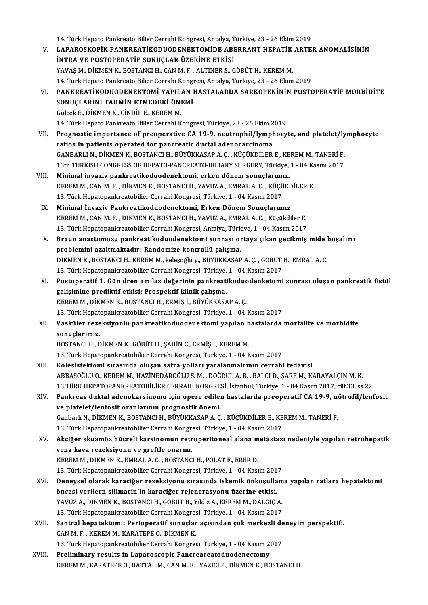14. Türk Hepato Pankreato Bilier Cerrahi Kongresi, Antalya, Türkiye, 23 - 26 Ekim 2019 14. Türk Hepato Pankreato Bilier Cerrahi Kongresi, Antalya, Türkiye, 23 - 26 Ekim 2019<br>V. LAPAROSKOPİK PANKREATİKODUODENEKTOMİDE ABERRANT HEPATİK ARTER ANOMALİSİNİN<br>İNTRA VE POSTORERATİE SONUCLAR ÜZERİNE ETKİSİ 14. Türk Hepato Pankreato Bilier Cerrahi Kongresi, Antalya, T<br>LAPAROSKOPİK PANKREATİKODUODENEKTOMİDE ABI<br>İNTRA VE POSTOPERATİF SONUÇLAR ÜZERİNE ETKİSİ<br>YAVAS M. DİKMEN K. BOSTANCI H. CAN M.E. ALTINER S. C LAPAROSKOPİK PANKREATİKODUODENEKTOMİDE ABERRANT HEPATİK<br>İNTRA VE POSTOPERATİF SONUÇLAR ÜZERİNE ETKİSİ<br>YAVAŞ M., DİKMEN K., BOSTANCI H., CAN M. F. , ALTINER S., GÖBÜT H., KEREM M.<br>14. Türk Hanata Pankrata Biliar Carrabi Kan 1 INTRA VE POSTOPERATIF SONUÇLAR ÜZERINE ETKISI<br>14. Türk Hepato Pankreato Bilier Cerrahi Kongresi, Antalya, Türkiye, 23 - 26 Ekim 2019<br>14. Türk Hepato Pankreato Bilier Cerrahi Kongresi, Antalya, Türkiye, 23 - 26 Ekim 2019 YAVAŞ M., DİKMEN K., BOSTANCI H., CAN M. F. , ALTINER S., GÖBÜT H., KEREM M.<br>14. Türk Hepato Pankreato Bilier Cerrahi Kongresi, Antalya, Türkiye, 23 - 26 Ekim 2019<br>VI. – PANKREATİKODUODENEKTOMİ YAPILAN HASTALARDA SARKOPENİ 14. Türk Hepato Pankreato Bilier Cerrahi Kong<br>PANKREATİKODUODENEKTOMİ YAPILAN I<br>SONUÇLARINI TAHMİN ETMEDEKİ ÖNEMİ<br>Cülcek E. DİKMEN K. CİNDİL E. KEREM M PANKREATİKODUODENEKTOMİ YAPIL.<br>SONUÇLARINI TAHMİN ETMEDEKİ ÖNI<br>Gülcek E., DİKMEN K., CİNDİL E., KEREM M.<br>14. Türk Hanata Bankrasta Biliar Carrabi K 14. SONUÇLARINI TAHMİN ETMEDEKİ ÖNEMİ<br>14. Türk Hepato Pankreato Bilier Cerrahi Kongresi, Türkiye, 23 - 26 Ekim 2019 Gülcek E., DİKMEN K., CİNDİL E., KEREM M.<br>14. Türk Hepato Pankreato Bilier Cerrahi Kongresi, Türkiye, 23 - 26 Ekim 2019<br>VII. Prognostic importance of preoperative CA 19-9, neutrophil/lymphocyte, and platelet/lymphocyte<br>rat 14. Türk Hepato Pankreato Bilier Cerrahi Kongresi, Türkiye, 23 - 26 Ekim 2<br>Prognostic importance of preoperative CA 19-9, neutrophil/lympl<br>ratios in patients operated for pancreatic ductal adenocarcinoma<br>CANPARLLN, DIKMEN Prognostic importance of preoperative CA 19-9, neutrophil/lymphocyte, and platelet/ly<br>ratios in patients operated for pancreatic ductal adenocarcinoma<br>GANBARLI N., DİKMEN K., BOSTANCI H., BÜYÜKKASAP A. Ç. , KÜÇÜKDİLER E., ratios in patients operated for pancreatic ductal adenocarcinoma<br>GANBARLI N., DİKMEN K., BOSTANCI H., BÜYÜKKASAP A. Ç. , KÜÇÜKDİLER E., KEREM M., TANERİ F.<br>13th TURKISH CONGRESS OF HEPATO-PANCREATO-BILIARY SURGERY, Türkiye GANBARLI N., DİKMEN K., BOSTANCI H., BÜYÜKKASAP A. Ç., KÜÇÜKDİLER E., KE<br>13th TURKISH CONGRESS OF HEPATO-PANCREATO-BILIARY SURGERY, Türkiye,<br>VIII. Minimal invaziv pankreatikoduodenektomi, erken dönem sonuçlarımız.<br>1990 - K 13th TURKISH CONGRESS OF HEPATO-PANCREATO-BILIARY SURGERY, Türkiye, 1 - 04 Ka<br>Minimal invaziv pankreatikoduodenektomi, erken dönem sonuçlarımız.<br>KEREM M., CAN M. F. , DİKMEN K., BOSTANCI H., YAVUZ A., EMRAL A. C. , KÜÇÜKDİ Minimal invaziv pankreatikoduodenektomi, erken dönem sonuçlarımı<br>KEREM M., CAN M. F. , DİKMEN K., BOSTANCI H., YAVUZ A., EMRAL A. C. , KÜÇÜ<br>13. Türk Hepatopankreatobilier Cerrahi Kongresi, Türkiye, 1 - 04 Kasım 2017<br>Minima KEREM M., CAN M. F. , DİKMEN K., BOSTANCI H., YAVUZ A., EMRAL A. C. , KÜÇÜKI<br>13. Türk Hepatopankreatobilier Cerrahi Kongresi, Türkiye, 1 - 04 Kasım 2017<br>IX. Minimal İnvaziv Pankreatikoduodenektomi, Erken Dönem Sonuçlarımız 13. Türk Hepatopankreatobilier Cerrahi Kongresi, Türkiye, 1 - 04 Kasım 2017<br>IX. Minimal İnvaziv Pankreatikoduodenektomi, Erken Dönem Sonuçlarımız<br>KEREM M., CAN M. F. , DİKMEN K., BOSTANCI H., YAVUZ A., EMRAL A. C. , Kü Minimal İnvaziv Pankreatikoduodenektomi, Erken Dönem Sonuçlarımız<br>KEREM M., CAN M. F. , DİKMEN K., BOSTANCI H., YAVUZ A., EMRAL A. C. , Küçükdiler E.<br>13. Türk Hepatopankreatobilier Cerrahi Kongresi, Antalya, Türkiye, 1 - 0 KEREM M., CAN M. F. , DİKMEN K., BOSTANCI H., YAVUZ A., EMRAL A. C. , Küçükdiler E.<br>13. Türk Hepatopankreatobilier Cerrahi Kongresi, Antalya, Türkiye, 1 - 04 Kasım 2017<br>X. Braun anastomozu pankreatikoduodenektomi sonrası o 13. Türk Hepatopankreatobilier Cerrahi Kongresi, Antalya, Türk<br>Braun anastomozu pankreatikoduodenektomi sonrası ol<br>problemini azaltmaktadır: Randomize kontrollü çalışma.<br>pikMEN K. POSTANCLH. KEREM M. kolosoğlu v. PüvüKKASA Braun anastomozu pankreatikoduodenektomi sonrası ortaya çıkan gecikmiş mide l<br>problemini azaltmaktadır: Randomize kontrollü çalışma.<br>DİKMEN K., BOSTANCI H., KEREM M., keleşoğlu y., BÜYÜKKASAP A. Ç. , GÖBÜT H., EMRAL A. C.<br> problemini azaltmaktadır: Randomize kontrollü çalışma.<br>DİKMEN K., BOSTANCI H., KEREM M., keleşoğlu y., BÜYÜKKASAP A. Ç. , GÖBÜT<br>13. Türk Hepatopankreatobilier Cerrahi Kongresi, Türkiye, 1 - 04 Kasım 2017<br>Bostopanatif 1. Gü DİKMEN K., BOSTANCI H., KEREM M., keleşoğlu y., BÜYÜKKASAP A. Ç. , GÖBÜT H., EMRAL A. C.<br>13. Türk Hepatopankreatobilier Cerrahi Kongresi, Türkiye, 1 - 04 Kasım 2017<br>XI. Postoperatif 1. Gün dren amilaz değerinin pankreatiko 13. Türk Hepatopankreatobilier Cerrahi Kongresi, Türkiye,<br>Postoperatif 1. Gün dren amilaz değerinin pankreati<br>gelişimine prediktif etkisi: Prospektif klinik çalışma.<br>KEREM M. DİKMEN K. BOSTANCLU, ERMİS İ. BÜYÜKKASA Postoperatif 1. Gün dren amilaz değerinin pankreatikoduc<br>gelişimine prediktif etkisi: Prospektif klinik çalışma.<br>KEREM M., DİKMEN K., BOSTANCI H., ERMİŞ İ., BÜYÜKKASAP A. Ç.<br>12. Türk Hanatanankreatabiliar Carrabi Kanaresi, gelişimine prediktif etkisi: Prospektif klinik çalışma.<br>KEREM M., DİKMEN K., BOSTANCI H., ERMİŞ İ., BÜYÜKKASAP A. Ç.<br>13. Türk Hepatopankreatobilier Cerrahi Kongresi, Türkiye, 1 - 04 Kasım 2017<br>Vesküler regeksiyerlu perkrea KEREM M., DİKMEN K., BOSTANCI H., ERMİŞ İ., BÜYÜKKASAP A. Ç.<br>13. Türk Hepatopankreatobilier Cerrahi Kongresi, Türkiye, 1 - 04 Kasım 2017<br>XII. Vasküler rezeksiyonlu pankreatikoduodenektomi yapılan hastalarda mortalite v 13. Türk Hepat<br><mark>Vasküler reze</mark><br>sonuçlarımız.<br>POSTANCLH. F BOSTANCI H., DİKMEN K., GÖBÜT H., ŞAHİN C., ERMİŞ İ., KEREM M. 13.TürkHepatopankreatobilier CerrahiKongresi,Türkiye,1 -04Kasım2017 XIII. Kolesistektomi sırasında oluşan safra yolları yaralanmalrının cerrahi tedavisi ABBASOĞLUO.,KEREMM.,HAZİNEDAROĞLUS.M. ,DOĞRULA.B. ,BALCID.,ŞAREM.,KARAYALÇINM.K. 13.TÜRK HEPATOPANKREATOBİLİER CERRAHİ KONGRESİ, İstanbul, Türkiye, 1 - 04 Kasım 2017, cilt.33, ss.22 ABBASOĞLU O., KEREM M., HAZİNEDAROĞLU S. M. , DOĞRUL A. B. , BALCI D., ŞARE M., KARAYALÇIN M. K.<br>13.TÜRK HEPATOPANKREATOBİLİER CERRAHİ KONGRESİ, İstanbul, Türkiye, 1 - 04 Kasım 2017, cilt.33, ss.22<br>XIV. Pankreas duktal 13.TÜRK HEPATOPANKREATOBİLİER CERRAHİ KONGRE:<br>Pankreas duktal adenokarsinomu için opere edilel<br>ve platelet/lenfosit oranlarının prognostik önemi.<br>Canbarlı N. DİKMEN K. BOSTANCLU, BÜVÜKKASAR A.C Pankreas duktal adenokarsinomu için opere edilen hastalarda preoperatif CA 19-9, ne<br>ve platelet/lenfosit oranlarının prognostik önemi.<br>Ganbarlı N., DİKMEN K., BOSTANCI H., BÜYÜKKASAP A. Ç. , KÜÇÜKDİLER E., KEREM M., TANERİ ve platelet/lenfosit oranlarının prognostik önemi.<br>Ganbarlı N., DİKMEN K., BOSTANCI H., BÜYÜKKASAP A. Ç. , KÜÇÜKDİLER E., KEREM M., TANERİ F. XV. Akciğer skuamöz hücreli karsinomun retroperitoneal alanametastazı nedeniyle yapılan retrohepatik 13. Türk Hepatopankreatobilier Cerrahi Kongresi, Türkiye, 1 - 04 Kasım 2017 KEREM M., DİKMEN K., EMRAL A. C., BOSTANCI H., POLAT F., ERER D. vena kava rezeksiyonu ve greftle onarım.<br>KEREM M., DİKMEN K., EMRAL A. C. , BOSTANCI H., POLAT F., ERER D.<br>13. Türk Hepatopankreatobilier Cerrahi Kongresi, Türkiye, 1 - 04 Kasım 2017<br>Denevsel olarak karasiğer rezeksiyonu s KEREM M., DİKMEN K., EMRAL A. C. , BOSTANCI H., POLAT F., ERER D.<br>13. Türk Hepatopankreatobilier Cerrahi Kongresi, Türkiye, 1 - 04 Kasım 2017<br>XVI. Deneysel olarak karaciğer rezeksiyonu sırasında iskemik önkoşullama yap 13. Türk Hepatopankreatobilier Cerrahi Kongresi, Türkiye, 1 - 04 Kasım 201<br>Deneysel olarak karaciğer rezeksiyonu sırasında iskemik önkoşulla<br>öncesi verilern silimarin'in karaciğer rejenerasyonu üzerine etkisi.<br>YAVUZ A. DİK Deneysel olarak karaciğer rezeksiyonu sırasında iskemik önkoşullam<br>öncesi verilern silimarin'in karaciğer rejenerasyonu üzerine etkisi.<br>YAVUZ A., DİKMEN K., BOSTANCI H., GÖBÜT H., Yıldız A., KEREM M., DALGIÇ A.<br>12. Türk Ha öncesi verilern silimarin'in karaciğer rejenerasyonu üzerine etkisi.<br>YAVUZ A., DİKMEN K., BOSTANCI H., GÖBÜT H., Yıldız A., KEREM M., DALGIÇ A.<br>13. Türk Hepatopankreatobilier Cerrahi Kongresi, Türkiye, 1 - 04 Kasım 2017<br>Sa YAVUZ A., DİKMEN K., BOSTANCI H., GÖBÜT H., Yıldız A., KEREM M., DALGIÇ A.<br>13. Türk Hepatopankreatobilier Cerrahi Kongresi, Türkiye, 1 - 04 Kasım 2017<br>XVII. Santral hepatektomi: Perioperatif sonuçlar açısından çok merkezli 13. Türk Hepatopankreatobilier Cerrahi Kongres<br>Santral hepatektomi: Perioperatif sonuçlar<br>CAN M. F. , KEREM M., KARATEPE O., DİKMEN K.<br>12. Türk Hanatopankreatobiliar Cerrabi Kongres Santral hepatektomi: Perioperatif sonuçlar açısından çok merkezli de<br>CAN M. F., KEREM M., KARATEPE O., DİKMEN K.<br>13. Türk Hepatopankreatobilier Cerrahi Kongresi, Türkiye, 1 - 04 Kasım 2017<br>Preliminary nesulta in Lanarassan CAN M. F. , KEREM M., KARATEPE O., DİKMEN K.<br>13. Türk Hepatopankreatobilier Cerrahi Kongresi, Türkiye, 1 - 04 Kasım 2017<br>XVIII. Preliminary results in Laparoscopic Pancreareatoduodenectomy KEREM M., KARATEPE O., BATTAL M., CAN M. F., YAZICI P., DİKMEN K., BOSTANCI H.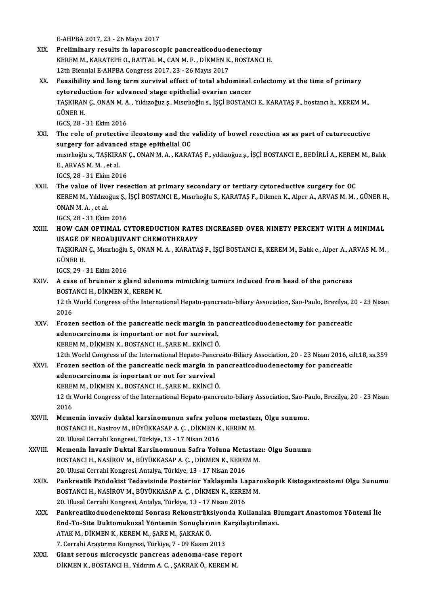E-AHPBA2017,23 -26Mayıs2017

- XIX. Preliminary results in laparoscopic pancreaticoduodenectomy E-AHPBA 2017, 23 - 26 Mayıs 2017<br>Preliminary results in laparoscopic pancreaticoduodenectomy<br>KEREM M., KARATEPE O., BATTAL M., CAN M. F. , DİKMEN K., BOSTANCI H.<br>12th Biannial E. AHPPA Congress 2017, 22, 26 Mayıs 2017 Preliminary results in laparoscopic pancreaticoduod<br>KEREM M., KARATEPE O., BATTAL M., CAN M. F. , DİKMEN K.<br>12th Biennial E-AHPBA Congress 2017, 23 - 26 Mayıs 2017<br>Essaibility and lang tarm ayrıyıyıl affast of tatal abde KEREM M., KARATEPE O., BATTAL M., CAN M. F. , DİKMEN K., BOSTANCI H.<br>12th Biennial E-AHPBA Congress 2017, 23 - 26 Mayıs 2017<br>XX. Feasibility and long term survival effect of total abdominal colectomy at the time of primary
- 12th Biennial E-AHPBA Congress 2017, 23 26 Mayıs 2017<br>Feasibility and long term survival effect of total abdominal<br>cytoreduction for advanced stage epithelial ovarian cancer<br>TASKIRAN C. ONAN M.A. Vikizoğuz s. Merrhoğlu s Feasibility and long term survival effect of total abdominal colectomy at the time of primary<br>cytoreduction for advanced stage epithelial ovarian cancer<br>TAŞKIRAN Ç., ONAN M. A. , Yıldızoğuz ş., Mısırlıoğlu s., İŞÇİ BOSTANC cytoredu<br>TAŞKIRAN<br>GÜNER H. TAŞKIRAN Ç., ONAN M. A<br>GÜNER H.<br>IGCS, 28 - 31 Ekim 2016<br>The role of protective GÜNER H.<br>IGCS, 28 - 31 Ekim 2016<br>XXI. The role of protective ileostomy and the validity of bowel resection as as part of cuturecuctive<br>surgery for advanced stage enithelial OC

IGCS, 28 - 31 Ekim 2016<br>The role of protective ileostomy and the<br>surgery for advanced stage epithelial OC The role of protective ileostomy and the validity of bowel resection as as part of cuturecuctive<br>surgery for advanced stage epithelial OC<br>mısırlıoğlu s., TAŞKIRAN Ç., ONAN M. A. , KARATAŞ F., yıldızoğuz ş., İŞÇİ BOSTANCI E

surgery for advanced stage epithelial OC<br>mısırlıoğlu s., TAŞKIRAN Ç., ONAN M. A. , KARA<br>E., ARVAS M. M. , et al.<br>IGCS, 28 - 31 Ekim 2016 mısırlıoğlu s., TAŞKIRAN<br>E., ARVAS M. M. , et al.<br>IGCS, 28 - 31 Ekim 2016<br>The yolve of liver ress

XXII. The value of liver resection at primary secondary or tertiary cytoreductive surgery for OC IGCS, 28 - 31 Ekim 2016<br>The value of liver resection at primary secondary or tertiary cytoreductive surgery for OC<br>KEREM M., Yıldızoğuz Ş., İŞÇİ BOSTANCI E., Mısırlıoğlu S., KARATAŞ F., Dikmen K., Alper A., ARVAS M. M. , G The value of live<br>KEREM M., Yıldızo<br>ONAN M. A. , et al.<br>ICCS 29 - 21 Elim KEREM M., Yıldızoğuz Ş.,<br>ONAN M. A. , et al.<br>IGCS, 28 - 31 Ekim 2016<br>HOW CAN OPTIMAL C ONAN M. A. , et al.<br>IGCS, 28 - 31 Ekim 2016<br>XXIII. HOW CAN OPTIMAL CYTOREDUCTION RATES INCREASED OVER NINETY PERCENT WITH A MINIMAL

IGCS, 28 - 31 Ekim 2016<br>HOW CAN OPTIMAL CYTOREDUCTION RATE<br>USAGE OF NEOADJUVANT CHEMOTHERAPY<br>TASKIPAN.C. MERISSINS, ONAN M.A., KARATA HOW CAN OPTIMAL CYTOREDUCTION RATES INCREASED OVER NINETY PERCENT WITH A MINIMAL<br>USAGE OF NEOADJUVANT CHEMOTHERAPY<br>TAŞKIRAN Ç., Mısırlıoğlu S., ONAN M. A. , KARATAŞ F., İŞÇİ BOSTANCI E., KEREM M., Balık e., Alper A., ARVAS

USAGE ON<br>TAŞKIRAN<br>GÜNER H. TAŞKIRAN Ç., Mısırlıoğlu<br>GÜNER H.<br>IGCS, 29 - 31 Ekim 2016<br>A 6359 of brunner s.s.

GÜNER H.<br>IGCS, 29 - 31 Ekim 2016<br>XXIV. A case of brunner s gland adenoma mimicking tumors induced from head of the pancreas<br>POSTANCLH, DIKMEN K, KEREM M IGCS, 29 - 31 Ekim 2016<br>A case of brunner s gland adeno<br>BOSTANCI H., DİKMEN K., KEREM M.<br>12 th World Congress of the Internat BOSTANCI H., DİKMEN K., KEREM M.

12 th World Congress of the International Hepato-pancreato-biliary Association, Sao-Paulo, Brezilya, 20 - 23 Nisan<br>2016

- XXV. Frozen section of the pancreatic neckmargin in pancreaticoduodenectomy for pancreatic 2016<br>Frozen section of the pancreatic neck margin in p<br>adenocarcinoma is important or not for survival.<br>KEREM M. DİKMEN K. BOSTANCLH, SARE M. EKİNCİ Ö Frozen section of the pancreatic neck margin in p<br>adenocarcinoma is important or not for survival.<br>KEREM M., DİKMEN K., BOSTANCI H., ŞARE M., EKİNCİ Ö.<br>12th World Congress of the International Henate Peners KEREM M., DİKMEN K., BOSTANCI H., ŞARE M., EKİNCİ Ö.<br>12th World Congress of the International Hepato-Pancreato-Biliary Association, 20 - 23 Nisan 2016, cilt.18, ss.359
- KEREM M., DİKMEN K., BOSTANCI H., ŞARE M., EKİNCİ Ö.<br>12th World Congress of the International Hepato-Pancreato-Biliary Association, 20 23 Nisan 2016, ci<br>2015 Salam Section of the pancreatic neck margin in pancreaticodu 12th World Congress of the International Hepato-Panc<br>Frozen section of the pancreatic neck margin in<br>adenocarcinoma is inportant or not for survival<br>EXPEM M. DIVMEN E. POSTANCLH, SARE M. EVINCL Frozen section of the pancreatic neck margin in p<br>adenocarcinoma is inportant or not for survival<br>KEREM M., DİKMEN K., BOSTANCI H., ŞARE M., EKİNCİ Ö.<br>12 th World Congress of the International Henete nangr adenocarcinoma is inportant or not for survival<br>KEREM M., DİKMEN K., BOSTANCI H., ŞARE M., EKİNCİ Ö.<br>12 th World Congress of the International Hepato-pancreato-biliary Association, Sao-Paulo, Brezilya, 20 - 23 Nisan<br>2016 KERE<br>12 th<br>2016<br>Mama
- 12 th World Congress of the International Hepato-pancreato-biliary Association, Sao-Pa<br>2016<br>XXVII. Memenin invaziv duktal karsinomunun safra yoluna metastazı, Olgu sunumu.<br>POSTANCLH Nasirov M PÜVÜKKASAR A.C. DİKMEN K. KERE 2016<br>Memenin invaziv duktal karsinomunun safra yoluna metasta:<br>BOSTANCI H., Nasirov M., BÜYÜKKASAP A. Ç. , DİKMEN K., KEREM M.<br>20 Hlusal Carrabi kangresi Türkiye 13 , 17 Nisan 2016 Memenin invaziv duktal karsinomunun safra yolur<br>BOSTANCI H., Nasirov M., BÜYÜKKASAP A. Ç. , DİKMEN K<br>20. Ulusal Cerrahi kongresi, Türkiye, 13 - 17 Nisan 2016<br>Memenin İnvaziy Duktal Karsinomunun Safra Yolu
- 20. Ulusal Cerrahi kongresi, Türkiye, 13 17 Nisan 2016<br>XXVIII. Memenin İnvaziv Duktal Karsinomunun Safra Yoluna Metastazı: Olgu Sunumu 20. Ulusal Cerrahi kongresi, Türkiye, 13 - 17 Nisan 2016<br>Memenin İnvaziv Duktal Karsinomunun Safra Yoluna Metastaz<br>BOSTANCI H., NASİROV M., BÜYÜKKASAP A. Ç. , DİKMEN K., KEREM M.<br>20. Ulusal Carrabi Kangresi, Antalya Türkiy Memenin İnvaziv Duktal Karsinomunun Safra Yoluna Meta<br>BOSTANCI H., NASİROV M., BÜYÜKKASAP A. Ç. , DİKMEN K., KEREI<br>20. Ulusal Cerrahi Kongresi, Antalya, Türkiye, 13 - 17 Nisan 2016<br>Bankrestik Beğdekist Tedevisinde Besteria
- BOSTANCI H., NASİROV M., BÜYÜKKASAP A. Ç. , DİKMEN K., KEREM M.<br>20. Ulusal Cerrahi Kongresi, Antalya, Türkiye, 13 17 Nisan 2016<br>XXIX. Pankreatik Psödokist Tedavisinde Posterior Yaklaşımla Laparoskopik Kistogastrostom 20. Ulusal Cerrahi Kongresi, Antalya, Türkiye, 13 - 17 Nisan 2016<br>Pankreatik Psödokist Tedavisinde Posterior Yaklaşımla Laparı<br>BOSTANCI H., NASİROV M., BÜYÜKKASAP A. Ç. , DİKMEN K., KEREM M.<br>20. Ulusal Carrabi Kangresi, An Pankreatik Psödokist Tedavisinde Posterior Yaklaşımla La<br>BOSTANCI H., NASİROV M., BÜYÜKKASAP A. Ç. , DİKMEN K., KEREI<br>20. Ulusal Cerrahi Kongresi, Antalya, Türkiye, 13 - 17 Nisan 2016<br>Pankreatikaduodenektemi Senresı Pekene BOSTANCI H., NASİROV M., BÜYÜKKASAP A. Ç. , DİKMEN K., KEREM M.<br>20. Ulusal Cerrahi Kongresi, Antalya, Türkiye, 13 - 17 Nisan 2016<br>XXX. Pankreatikoduodenektomi Sonrası Rekonstrüksiyonda Kullanılan Blumgart Anastomoz Yön
- 20. Ulusal Cerrahi Kongresi, Antalya, Türkiye, 13 17 Nisan 2016<br>Pankreatikoduodenektomi Sonrası Rekonstrüksiyonda Kullanılan Bl<br>End-To-Site Duktomukozal Yöntemin Sonuçlarının Karşılaştırılması.<br>ATAK M. DİKMEN K. KEREM M. ATAK M., DİKMEN K., KEREM M., ŞARE M., ŞAKRAK Ö.<br>7. Cerrahi Araştırma Kongresi, Türkiye, 7 - 09 Kasım 2013 End-To-Site Duktomukozal Yöntemin Sonuçlarının Karşılaştırılması. ATAK M., DİKMEN K., KEREM M., ŞARE M., ŞAKRAK Ö.<br>7. Cerrahi Araştırma Kongresi, Türkiye, 7 - 09 Kasım 2013<br>XXXI. Giant serous microcystic pancreas adenoma-case report<br>DİKMEN K. BOSTANCU H. Vilduum A. G. SAKRAK Ö. KEREM M
- 7. Cerrahi Araştırma Kongresi, Türkiye, 7 09 Kasım 2013<br>Giant serous <mark>microcystic pancreas adenoma-case repo</mark>1<br>DİKMEN K., BOSTANCI H., Yıldırım A. C. , ŞAKRAK Ö., KEREM M.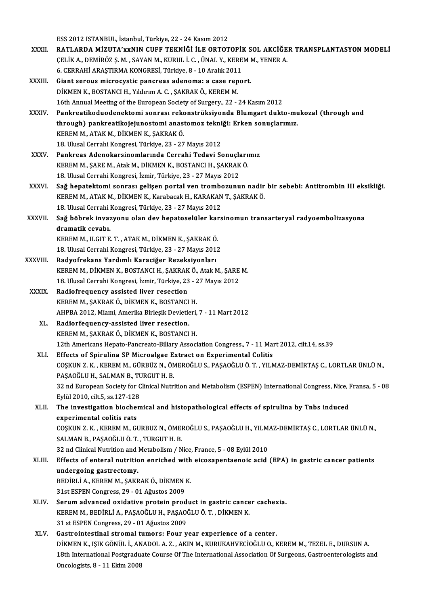ESS2012 ISTANBUL, İstanbul,Türkiye,22 -24Kasım2012

- ESS 2012 ISTANBUL, İstanbul, Türkiye, 22 24 Kasım 2012<br>XXXII. RATLARDA MİZUTA'xxNIN CUFF TEKNİĞİ İLE ORTOTOPİK SOL AKCİĞER TRANSPLANTASYON MODELİ<br>CELİK A DEMİRÖZ S M SAYAN M KURUL İ C ÜNAL Y KEREM M YENER A ESS 2012 ISTANBUL, İstanbul, Türkiye, 22 - 24 Kasım 2012<br>RATLARDA MİZUTA'xxNIN CUFF TEKNİĞİ İLE ORTOTOPİK SOL AKCİĞE<br>ÇELİK A., DEMİRÖZ Ş.M. , SAYAN M., KURUL İ. C. , ÜNAL Y., KEREM M., YENER A.<br>6. CERRAHİ ARASTIRMA KONCRES RATLARDA MİZUTA'xxNIN CUFF TEKNİĞİ İLE ORTOTOPİI<br>ÇELİK A., DEMİRÖZ Ş. M. , SAYAN M., KURUL İ. C. , ÜNAL Y., KERE<br>6. CERRAHİ ARAŞTIRMA KONGRESİ, Türkiye, 8 - 10 Aralık 2011<br>Ciant seneve misresyytis pansuses adeneme; a sess CELIK A., DEMIRÖZ Ş. M. , SAYAN M., KURUL İ. C. , ÜNAL Y., KEREM M., YENER A.<br>6. CERRAHI ARAŞTIRMA KONGRESI, Türkiye, 8 - 10 Aralık 2011<br>XXXIII. Giant serous microcystic pancreas adenoma: a case report.<br>DİKMEN K., BOST 6. CERRAHİ ARAŞTIRMA KONGRESİ, Türkiye, 8 - 10 Aralık 2011
- 16th Annual Meeting of the European Society of Surgery., 22 24 Kasım 2012
- XXXIV. Pankreatikoduodenektomi sonrası rekonstrüksiyonda Blumgart dukto-mukozal (through and 16th Annual Meeting of the European Society of Surgery., 22 - 24 Kasım 2012<br>Pankreatikoduodenektomi sonrası rekonstrüksiyonda Blumgart dukto-mu<br>through) pankreatikojejunostomi anastomoz tekniği: Erken sonuçlarımız.<br>KEREM M Pankreatikoduodenektomi sonrası reko<br>through) pankreatikojejunostomi anas<br>KEREM M., ATAK M., DİKMEN K., ŞAKRAK Ö.<br>19 Ulugel Cerrebi Kongresi Türkiye 22., 27 through) pankreatikojejunostomi anastomoz tekni<br>KEREM M., ATAK M., DİKMEN K., ŞAKRAK Ö.<br>18. Ulusal Cerrahi Kongresi, Türkiye, 23 - 27 Mayıs 2012<br>Pankress, Adanakarsinemlarında Cerrahi Tedavi Se KEREM M., ATAK M., DİKMEN K., ŞAKRAK Ö.<br>18. Ulusal Cerrahi Kongresi, Türkiye, 23 - 27 Mayıs 2012<br>XXXV. Pankreas Adenokarsinomlarında Cerrahi Tedavi Sonuçlarımız
- KEREM M., ŞARE M., Atak M., DİKMEN K., BOSTANCI H., ŞAKRAKÖ. 18. Ulusal Cerrahi Kongresi, İzmir, Türkiye, 23 - 27 Mayıs 2012
- XXXVI. SARE M., Atak M., DİKMEN K., BOSTANCI H., ŞAKRAK Ö.<br>18. Ulusal Cerrahi Kongresi, İzmir, Türkiye, 23 27 Mayıs 2012<br>XXXVI. Sağ hepatektomi sonrası gelişen portal ven trombozunun nadir bir sebebi: Antitrombin III eks 18. Ulusal Cerrahi Kongresi, İzmir, Türkiye, 23 - 27 Mayıs 2012<br>Sağ hepatektomi sonrası gelişen portal ven trombozunun nadir<br>KEREM M., ATAK M., DİKMEN K., Karabacak H., KARAKAN T., ŞAKRAK Ö.<br>18. Ulusal Carrabi Kongresi Tür Sağ hepatektomi sonrası gelişen portal ven trombo<br>KEREM M., ATAK M., DİKMEN K., Karabacak H., KARAKAN<br>18. Ulusal Cerrahi Kongresi, Türkiye, 23 - 27 Mayıs 2012<br>Seğ höhnek inveryenye olan day haneteselüler kara 18. Ulusal Cerrahi Kongresi, Türkiye, 23 - 27 Mayıs 2012
- KEREM M., ATAK M., DİKMEN K., Karabacak H., KARAKAN T., ŞAKRAK Ö.<br>18. Ulusal Cerrahi Kongresi, Türkiye, 23 27 Mayıs 2012<br>XXXVII. Sağ böbrek invazyonu olan dev hepatoselüler karsinomun transarteryal radyoembolizasyona Sağ böbrek invazyonu olan dev hepatoselüler kar<br>dramatik cevabı.<br>KEREM M., ILGIT E. T. , ATAK M., DİKMEN K., ŞAKRAK Ö.<br>18 Hlucel Cerreki Kongresi Türkiye 22, 27 Mayıs 2015
	- dramatik cevabı.<br>KEREM M., ILGIT E. T. , ATAK M., DİKMEN K., ŞAKRAK Ö.<br>18. Ulusal Cerrahi Kongresi, Türkiye, 23 27 Mayıs 2012<br>Padvefrakans Yardımlı Karasiğer Pereksiyenlerı
- KEREM M., ILGIT E. T. , ATAK M., DİKMEN K., ŞAKRAK Ö.<br>18. Ulusal Cerrahi Kongresi, Türkiye, 23 27 Mayıs 201.<br>XXXVIII. Radyofrekans Yardımlı Karaciğer Rezeksiyonları 18. Ulusal Cerrahi Kongresi, Türkiye, 23 - 27 Mayıs 2012<br>**Radyofrekans Yardımlı Karaciğer Rezeksiyonları**<br>KEREM M., DİKMEN K., BOSTANCI H., ŞAKRAK Ö., Atak M., ŞARE M.<br>18. Ulusal Cerrabi Kongresi, İzmir, Türkiye, 22., 27 M Radyofrekans Yardımlı Karaciğer Rezeksiyonları<br>KEREM M., DİKMEN K., BOSTANCI H., ŞAKRAK Ö., Atak M., ŞARE<br>18. Ulusal Cerrahi Kongresi, İzmir, Türkiye, 23 - 27 Mayıs 2012<br>Padiofraquengy assisted liver resection KEREM M., DİKMEN K., BOSTANCI H., ŞAKRAK<br>18. Ulusal Cerrahi Kongresi, İzmir, Türkiye, 23<br>XXXIX. Radiofrequency assisted liver resection
	- 18. Ulusal Cerrahi Kongresi, İzmir, Türkiye, 23 27 Mayıs 2012<br>Radiofrequency assisted liver resection AHPBA 2012, Miami, Amerika Birleşik Devletleri, 7 - 11 Mart 2012<br>Radiorfequency-assisted liver resection. KEREM M., ŞAKRAK Ö., DİKMEN K., BOSTANCI H.<br>AHPBA 2012, Miami, Amerika Birleşik Devletleri,<br>XL. Radiorfequency-assisted liver resection.
		- KEREM M., ŞAKRAKÖ., DİKMEN K., BOSTANCI H. Radiorfequency-assisted liver resection.<br>KEREM M., ŞAKRAK Ö., DİKMEN K., BOSTANCI H.<br>12th Americans Hepato-Pancreato-Biliary Association Congress., 7 - 11 Mart 2012, cilt.14, ss.39<br>Effects of Spinuline SP Misroelsee Eutres KEREM M., ŞAKRAK Ö., DİKMEN K., BOSTANCI H.<br>12th Americans Hepato-Pancreato-Biliary Association Congress., 7 - 11 Mai<br>XLI. Effects of Spirulina SP Microalgae Extract on Experimental Colitis<br>COSKUN 7 K. KEREM M. CÜRRÜZ N. Ö
		- 12th Americans Hepato-Pancreato-Biliary Association Congress., 7 11 Mart 2012, cilt.14, ss.39<br>Effects of Spirulina SP Microalgae Extract on Experimental Colitis<br>COŞKUN Z. K. , KEREM M., GÜRBÜZ N., ÖMEROĞLU S., PAŞAOĞLU Ö Effects of Spirulina SP Microalgae E<br>COŞKUN Z. K. , KEREM M., GÜRBÜZ N., ÖN<br>PAŞAOĞLU H., SALMAN B., TURGUT H. B.<br>22 nd Euroneen Sesiety for Clinisel Nutri COȘKUN Z. K. , KEREM M., GÜRBÜZ N., ÖMEROĞLU S., PAŞAOĞLU Ö. T. , YILMAZ-DEMİRTAŞ C., LORTLAR ÜNLÜ N.,<br>PAŞAOĞLU H., SALMAN B., TURGUT H. B.<br>32 nd European Society for Clinical Nutrition and Metabolism (ESPEN) International PAŞAOĞLU H., SALMAN B., TURGUT H. B.<br>32 nd European Society for Clinical Nutrition and Metabolism (ESPEN) International Congress, Nice, Fransa, 5 - 08 Eylül 2010, cilt 5, ss 127-128
	- XLII. The investigation biochemical and histopathological effects of spirulina by Tnbs induced<br>experimental colitis rats The investigation biochemical and histopathological effects of spirulina by Tnbs induced<br>experimental colitis rats<br>COŞKUN Z. K. , KEREM M., GURBUZ N., ÖMEROĞLU S., PAŞAOĞLU H., YILMAZ-DEMİRTAŞ C., LORTLAR ÜNLÜ N.,<br>SALMAN B
	- experimental colitis rats<br>COŞKUN Z. K. , KEREM M., GURBUZ N., ÖMEI<br>SALMAN B., PAŞAOĞLU Ö. T. , TURGUT H. B.<br>22 nd Clinicel Nutrition and Metabolism / N COȘKUN Z. K. , KEREM M., GURBUZ N., ÖMEROĞLU S., PAŞAOĞLU H., YILM.<br>SALMAN B., PAŞAOĞLU Ö. T. , TURGUT H. B.<br>32 nd Clinical Nutrition and Metabolism / Nice, France, 5 - 08 Eylül 2010<br>Effects of antaral nutrition annichad w SALMAN B., PAŞAOĞLU Ö. T. , TURGUT H. B.<br>32 nd Clinical Nutrition and Metabolism / Nice, France, 5 - 08 Eylül 2010<br>XLIII. Effects of enteral nutrition enriched with eicosapentaenoic acid (EPA) in gastric cancer patients<br>we
	- 32 nd Clinical Nutrition and Metabolism / Nice, France, 5 08 Eylül 2010<br>Effects of enteral nutrition enriched with eicosapentaenoic acid<br>undergoing gastrectomy. Effects of enteral nutrition enriched with<br>undergoing gastrectomy.<br>BEDİRLİ A., KEREM M., ŞAKRAKÖ., DİKMEN K.<br>21st ESBEN Congress 29, 01 Ağustes 2009. BEDİRLİ A., KEREM M., ŞAKRAK Ö., DİKMEN K.<br>31st ESPEN Congress, 29 - 01 Ağustos 2009
	- XLIV. Serumadvanced oxidative protein product in gastric cancer cachexia. KEREMM.,BEDİRLİA.,PAŞAOĞLUH.,PAŞAOĞLUÖ.T. ,DİKMENK. 31 st ESPEN Congress, 29 - 01 Ağustos 2009
	- XLV. Gastrointestinal stromal tumors: Four year experience of a center. 31 st ESPEN Congress, 29 - 01 Ağustos 2009<br>Gastrointestinal stromal tumors: Four year experience of a center.<br>DİKMEN K., IŞIK GÖNÜL İ., ANADOL A. Z. , AKIN M., KURUKAHVECİOĞLU O., KEREM M., TEZEL E., DURSUN A.<br>19th Interna 18th International Postgraduate Course Of The International Association Of Surgeons, Gastroenterologists and<br>Oncologists, 8 - 11 Ekim 2008 DİKMEN K., IŞIK GÖNÜL İ., AN<br>18th International Postgradu:<br>Oncologists, 8 - 11 Ekim 2008